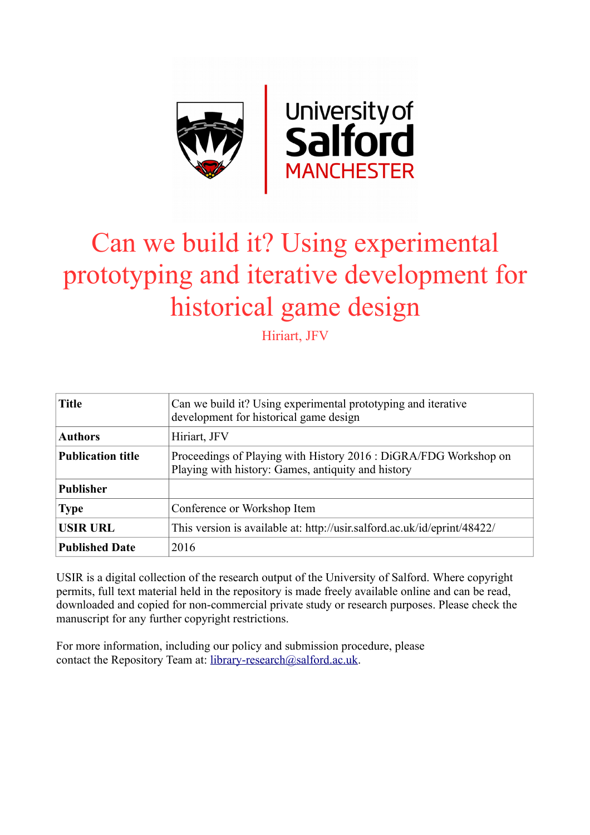

# Can we build it? Using experimental prototyping and iterative development for historical game design

Hiriart, JFV

| <b>Title</b>             | Can we build it? Using experimental prototyping and iterative<br>development for historical game design                |
|--------------------------|------------------------------------------------------------------------------------------------------------------------|
| <b>Authors</b>           | Hiriart, JFV                                                                                                           |
| <b>Publication title</b> | Proceedings of Playing with History 2016 : DiGRA/FDG Workshop on<br>Playing with history: Games, antiquity and history |
| <b>Publisher</b>         |                                                                                                                        |
| <b>Type</b>              | Conference or Workshop Item                                                                                            |
| <b>USIR URL</b>          | This version is available at: http://usir.salford.ac.uk/id/eprint/48422/                                               |
| <b>Published Date</b>    | 2016                                                                                                                   |

USIR is a digital collection of the research output of the University of Salford. Where copyright permits, full text material held in the repository is made freely available online and can be read, downloaded and copied for non-commercial private study or research purposes. Please check the manuscript for any further copyright restrictions.

For more information, including our policy and submission procedure, please contact the Repository Team at: [library-research@salford.ac.uk.](mailto:library-research@salford.ac.uk)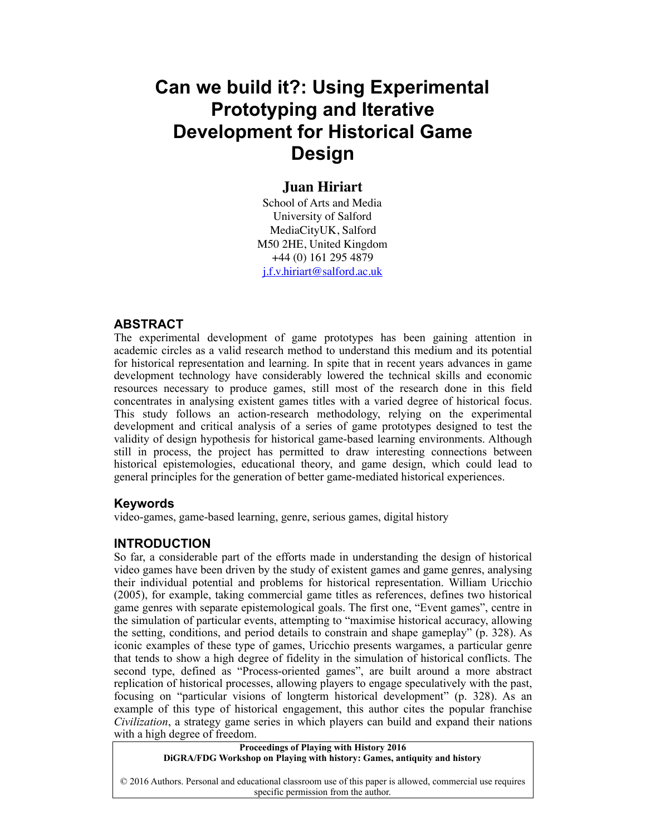# **Can we build it?: Using Experimental Prototyping and Iterative Development for Historical Game Design**

# **Juan Hiriart**

School of Arts and Media University of Salford MediaCityUK, Salford M50 2HE, United Kingdom +44 (0) 161 295 4879 [j.f.v.hiriart@salford.ac.uk](mailto:j.f.v.hiriart@salford.ac.uk?subject=)

#### **ABSTRACT**

The experimental development of game prototypes has been gaining attention in academic circles as a valid research method to understand this medium and its potential for historical representation and learning. In spite that in recent years advances in game development technology have considerably lowered the technical skills and economic resources necessary to produce games, still most of the research done in this field concentrates in analysing existent games titles with a varied degree of historical focus. This study follows an action-research methodology, relying on the experimental development and critical analysis of a series of game prototypes designed to test the validity of design hypothesis for historical game-based learning environments. Although still in process, the project has permitted to draw interesting connections between historical epistemologies, educational theory, and game design, which could lead to general principles for the generation of better game-mediated historical experiences.

#### **Keywords**

video-games, game-based learning, genre, serious games, digital history

#### **INTRODUCTION**

So far, a considerable part of the efforts made in understanding the design of historical video games have been driven by the study of existent games and game genres, analysing their individual potential and problems for historical representation. William Uricchio (2005), for example, taking commercial game titles as references, defines two historical game genres with separate epistemological goals. The first one, "Event games", centre in the simulation of particular events, attempting to "maximise historical accuracy, allowing the setting, conditions, and period details to constrain and shape gameplay" (p. 328). As iconic examples of these type of games, Uricchio presents wargames, a particular genre that tends to show a high degree of fidelity in the simulation of historical conflicts. The second type, defined as "Process-oriented games", are built around a more abstract replication of historical processes, allowing players to engage speculatively with the past, focusing on "particular visions of longterm historical development" (p. 328). As an example of this type of historical engagement, this author cites the popular franchise *Civilization*, a strategy game series in which players can build and expand their nations with a high degree of freedom.

**Proceedings of Playing with History 2016**

**DiGRA/FDG Workshop on Playing with history: Games, antiquity and history**

© 2016 Authors. Personal and educational classroom use of this paper is allowed, commercial use requires specific permission from the author.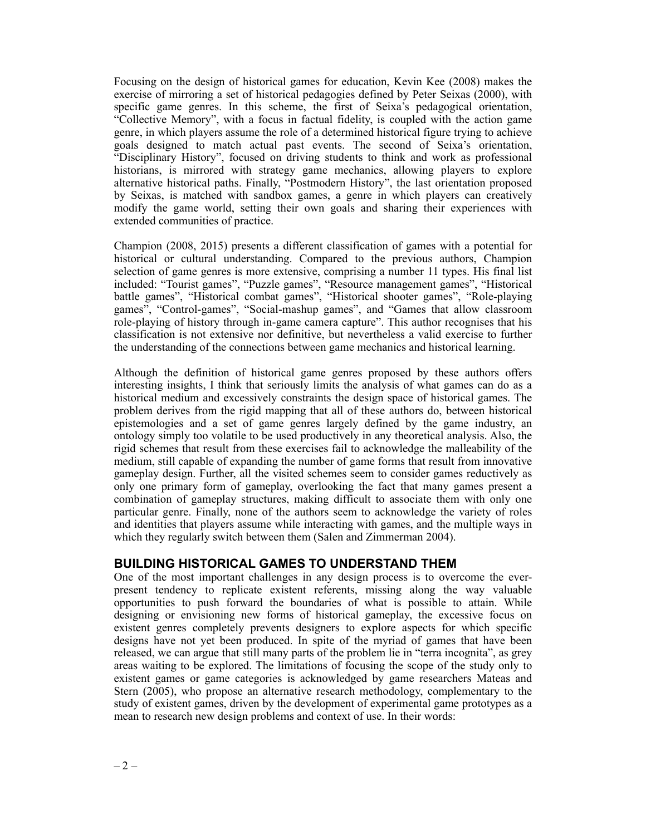Focusing on the design of historical games for education, Kevin Kee (2008) makes the exercise of mirroring a set of historical pedagogies defined by Peter Seixas (2000), with specific game genres. In this scheme, the first of Seixa's pedagogical orientation, "Collective Memory", with a focus in factual fidelity, is coupled with the action game genre, in which players assume the role of a determined historical figure trying to achieve goals designed to match actual past events. The second of Seixa's orientation, "Disciplinary History", focused on driving students to think and work as professional historians, is mirrored with strategy game mechanics, allowing players to explore alternative historical paths. Finally, "Postmodern History", the last orientation proposed by Seixas, is matched with sandbox games, a genre in which players can creatively modify the game world, setting their own goals and sharing their experiences with extended communities of practice.

Champion (2008, 2015) presents a different classification of games with a potential for historical or cultural understanding. Compared to the previous authors, Champion selection of game genres is more extensive, comprising a number 11 types. His final list included: "Tourist games", "Puzzle games", "Resource management games", "Historical battle games", "Historical combat games", "Historical shooter games", "Role-playing games", "Control-games", "Social-mashup games", and "Games that allow classroom role-playing of history through in-game camera capture". This author recognises that his classification is not extensive nor definitive, but nevertheless a valid exercise to further the understanding of the connections between game mechanics and historical learning.

Although the definition of historical game genres proposed by these authors offers interesting insights, I think that seriously limits the analysis of what games can do as a historical medium and excessively constraints the design space of historical games. The problem derives from the rigid mapping that all of these authors do, between historical epistemologies and a set of game genres largely defined by the game industry, an ontology simply too volatile to be used productively in any theoretical analysis. Also, the rigid schemes that result from these exercises fail to acknowledge the malleability of the medium, still capable of expanding the number of game forms that result from innovative gameplay design. Further, all the visited schemes seem to consider games reductively as only one primary form of gameplay, overlooking the fact that many games present a combination of gameplay structures, making difficult to associate them with only one particular genre. Finally, none of the authors seem to acknowledge the variety of roles and identities that players assume while interacting with games, and the multiple ways in which they regularly switch between them (Salen and Zimmerman 2004).

### **BUILDING HISTORICAL GAMES TO UNDERSTAND THEM**

One of the most important challenges in any design process is to overcome the everpresent tendency to replicate existent referents, missing along the way valuable opportunities to push forward the boundaries of what is possible to attain. While designing or envisioning new forms of historical gameplay, the excessive focus on existent genres completely prevents designers to explore aspects for which specific designs have not yet been produced. In spite of the myriad of games that have been released, we can argue that still many parts of the problem lie in "terra incognita", as grey areas waiting to be explored. The limitations of focusing the scope of the study only to existent games or game categories is acknowledged by game researchers Mateas and Stern (2005), who propose an alternative research methodology, complementary to the study of existent games, driven by the development of experimental game prototypes as a mean to research new design problems and context of use. In their words: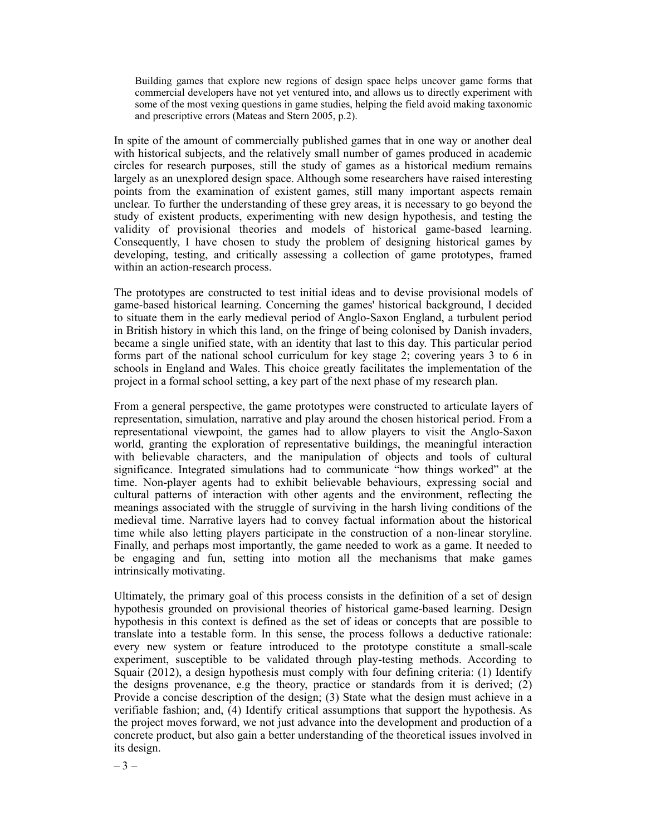Building games that explore new regions of design space helps uncover game forms that commercial developers have not yet ventured into, and allows us to directly experiment with some of the most vexing questions in game studies, helping the field avoid making taxonomic and prescriptive errors (Mateas and Stern 2005, p.2).

In spite of the amount of commercially published games that in one way or another deal with historical subjects, and the relatively small number of games produced in academic circles for research purposes, still the study of games as a historical medium remains largely as an unexplored design space. Although some researchers have raised interesting points from the examination of existent games, still many important aspects remain unclear. To further the understanding of these grey areas, it is necessary to go beyond the study of existent products, experimenting with new design hypothesis, and testing the validity of provisional theories and models of historical game-based learning. Consequently, I have chosen to study the problem of designing historical games by developing, testing, and critically assessing a collection of game prototypes, framed within an action-research process.

The prototypes are constructed to test initial ideas and to devise provisional models of game-based historical learning. Concerning the games' historical background, I decided to situate them in the early medieval period of Anglo-Saxon England, a turbulent period in British history in which this land, on the fringe of being colonised by Danish invaders, became a single unified state, with an identity that last to this day. This particular period forms part of the national school curriculum for key stage 2; covering years 3 to 6 in schools in England and Wales. This choice greatly facilitates the implementation of the project in a formal school setting, a key part of the next phase of my research plan.

From a general perspective, the game prototypes were constructed to articulate layers of representation, simulation, narrative and play around the chosen historical period. From a representational viewpoint, the games had to allow players to visit the Anglo-Saxon world, granting the exploration of representative buildings, the meaningful interaction with believable characters, and the manipulation of objects and tools of cultural significance. Integrated simulations had to communicate "how things worked" at the time. Non-player agents had to exhibit believable behaviours, expressing social and cultural patterns of interaction with other agents and the environment, reflecting the meanings associated with the struggle of surviving in the harsh living conditions of the medieval time. Narrative layers had to convey factual information about the historical time while also letting players participate in the construction of a non-linear storyline. Finally, and perhaps most importantly, the game needed to work as a game. It needed to be engaging and fun, setting into motion all the mechanisms that make games intrinsically motivating.

Ultimately, the primary goal of this process consists in the definition of a set of design hypothesis grounded on provisional theories of historical game-based learning. Design hypothesis in this context is defined as the set of ideas or concepts that are possible to translate into a testable form. In this sense, the process follows a deductive rationale: every new system or feature introduced to the prototype constitute a small-scale experiment, susceptible to be validated through play-testing methods. According to Squair (2012), a design hypothesis must comply with four defining criteria: (1) Identify the designs provenance, e.g the theory, practice or standards from it is derived; (2) Provide a concise description of the design; (3) State what the design must achieve in a verifiable fashion; and, (4) Identify critical assumptions that support the hypothesis. As the project moves forward, we not just advance into the development and production of a concrete product, but also gain a better understanding of the theoretical issues involved in its design.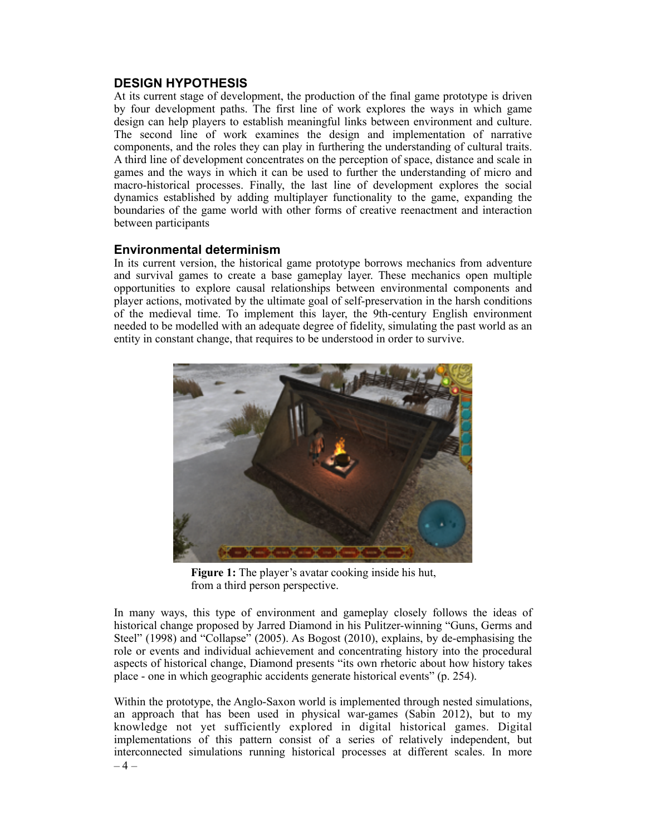### **DESIGN HYPOTHESIS**

At its current stage of development, the production of the final game prototype is driven by four development paths. The first line of work explores the ways in which game design can help players to establish meaningful links between environment and culture. The second line of work examines the design and implementation of narrative components, and the roles they can play in furthering the understanding of cultural traits. A third line of development concentrates on the perception of space, distance and scale in games and the ways in which it can be used to further the understanding of micro and macro-historical processes. Finally, the last line of development explores the social dynamics established by adding multiplayer functionality to the game, expanding the boundaries of the game world with other forms of creative reenactment and interaction between participants

# **Environmental determinism**

In its current version, the historical game prototype borrows mechanics from adventure and survival games to create a base gameplay layer. These mechanics open multiple opportunities to explore causal relationships between environmental components and player actions, motivated by the ultimate goal of self-preservation in the harsh conditions of the medieval time. To implement this layer, the 9th-century English environment needed to be modelled with an adequate degree of fidelity, simulating the past world as an entity in constant change, that requires to be understood in order to survive.



**Figure 1:** The player's avatar cooking inside his hut, from a third person perspective.

In many ways, this type of environment and gameplay closely follows the ideas of historical change proposed by Jarred Diamond in his Pulitzer-winning "Guns, Germs and Steel" (1998) and "Collapse" (2005). As Bogost (2010), explains, by de-emphasising the role or events and individual achievement and concentrating history into the procedural aspects of historical change, Diamond presents "its own rhetoric about how history takes place - one in which geographic accidents generate historical events" (p. 254).

Within the prototype, the Anglo-Saxon world is implemented through nested simulations, an approach that has been used in physical war-games (Sabin 2012), but to my knowledge not yet sufficiently explored in digital historical games. Digital implementations of this pattern consist of a series of relatively independent, but interconnected simulations running historical processes at different scales. In more  $-4-$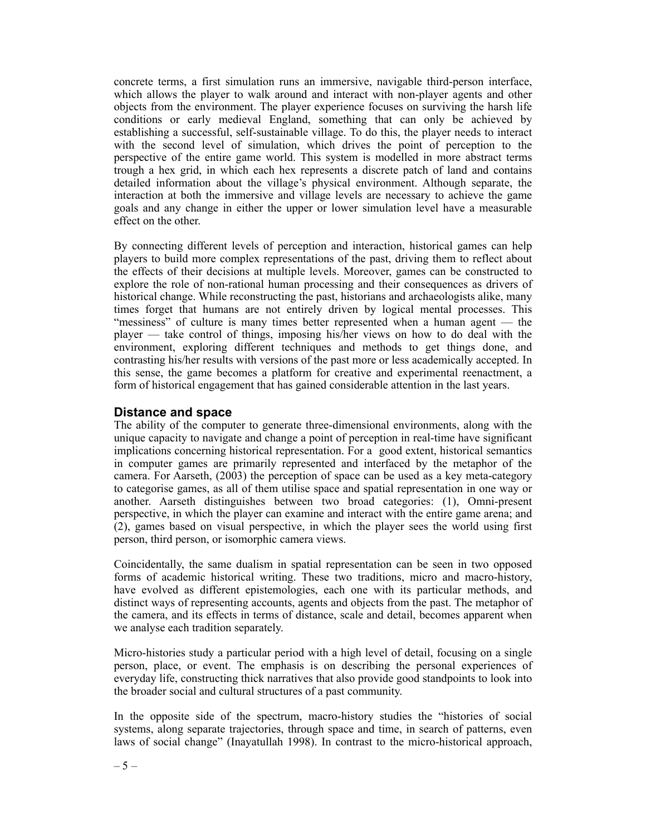concrete terms, a first simulation runs an immersive, navigable third-person interface, which allows the player to walk around and interact with non-player agents and other objects from the environment. The player experience focuses on surviving the harsh life conditions or early medieval England, something that can only be achieved by establishing a successful, self-sustainable village. To do this, the player needs to interact with the second level of simulation, which drives the point of perception to the perspective of the entire game world. This system is modelled in more abstract terms trough a hex grid, in which each hex represents a discrete patch of land and contains detailed information about the village's physical environment. Although separate, the interaction at both the immersive and village levels are necessary to achieve the game goals and any change in either the upper or lower simulation level have a measurable effect on the other.

By connecting different levels of perception and interaction, historical games can help players to build more complex representations of the past, driving them to reflect about the effects of their decisions at multiple levels. Moreover, games can be constructed to explore the role of non-rational human processing and their consequences as drivers of historical change. While reconstructing the past, historians and archaeologists alike, many times forget that humans are not entirely driven by logical mental processes. This "messiness" of culture is many times better represented when a human agent — the player — take control of things, imposing his/her views on how to do deal with the environment, exploring different techniques and methods to get things done, and contrasting his/her results with versions of the past more or less academically accepted. In this sense, the game becomes a platform for creative and experimental reenactment, a form of historical engagement that has gained considerable attention in the last years.

# **Distance and space**

The ability of the computer to generate three-dimensional environments, along with the unique capacity to navigate and change a point of perception in real-time have significant implications concerning historical representation. For a good extent, historical semantics in computer games are primarily represented and interfaced by the metaphor of the camera. For Aarseth, (2003) the perception of space can be used as a key meta-category to categorise games, as all of them utilise space and spatial representation in one way or another. Aarseth distinguishes between two broad categories: (1), Omni-present perspective, in which the player can examine and interact with the entire game arena; and (2), games based on visual perspective, in which the player sees the world using first person, third person, or isomorphic camera views.

Coincidentally, the same dualism in spatial representation can be seen in two opposed forms of academic historical writing. These two traditions, micro and macro-history, have evolved as different epistemologies, each one with its particular methods, and distinct ways of representing accounts, agents and objects from the past. The metaphor of the camera, and its effects in terms of distance, scale and detail, becomes apparent when we analyse each tradition separately.

Micro-histories study a particular period with a high level of detail, focusing on a single person, place, or event. The emphasis is on describing the personal experiences of everyday life, constructing thick narratives that also provide good standpoints to look into the broader social and cultural structures of a past community.

In the opposite side of the spectrum, macro-history studies the "histories of social systems, along separate trajectories, through space and time, in search of patterns, even laws of social change" (Inayatullah 1998). In contrast to the micro-historical approach,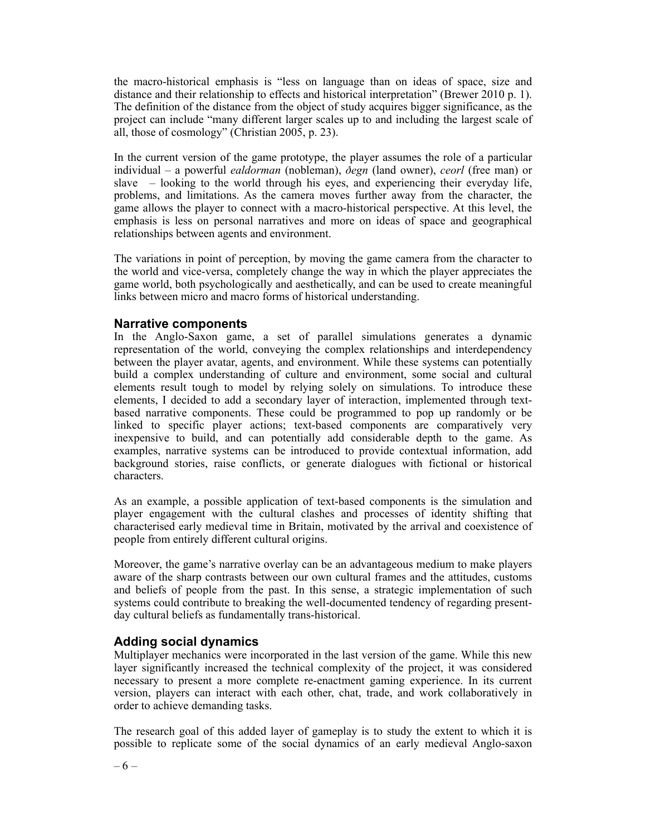the macro-historical emphasis is "less on language than on ideas of space, size and distance and their relationship to effects and historical interpretation" (Brewer 2010 p. 1). The definition of the distance from the object of study acquires bigger significance, as the project can include "many different larger scales up to and including the largest scale of all, those of cosmology" (Christian 2005, p. 23).

In the current version of the game prototype, the player assumes the role of a particular individual – a powerful *ealdorman* (nobleman), *ðegn* (land owner), *ceorl* (free man) or slave – looking to the world through his eyes, and experiencing their everyday life, problems, and limitations. As the camera moves further away from the character, the game allows the player to connect with a macro-historical perspective. At this level, the emphasis is less on personal narratives and more on ideas of space and geographical relationships between agents and environment.

The variations in point of perception, by moving the game camera from the character to the world and vice-versa, completely change the way in which the player appreciates the game world, both psychologically and aesthetically, and can be used to create meaningful links between micro and macro forms of historical understanding.

### **Narrative components**

In the Anglo-Saxon game, a set of parallel simulations generates a dynamic representation of the world, conveying the complex relationships and interdependency between the player avatar, agents, and environment. While these systems can potentially build a complex understanding of culture and environment, some social and cultural elements result tough to model by relying solely on simulations. To introduce these elements, I decided to add a secondary layer of interaction, implemented through textbased narrative components. These could be programmed to pop up randomly or be linked to specific player actions; text-based components are comparatively very inexpensive to build, and can potentially add considerable depth to the game. As examples, narrative systems can be introduced to provide contextual information, add background stories, raise conflicts, or generate dialogues with fictional or historical characters.

As an example, a possible application of text-based components is the simulation and player engagement with the cultural clashes and processes of identity shifting that characterised early medieval time in Britain, motivated by the arrival and coexistence of people from entirely different cultural origins.

Moreover, the game's narrative overlay can be an advantageous medium to make players aware of the sharp contrasts between our own cultural frames and the attitudes, customs and beliefs of people from the past. In this sense, a strategic implementation of such systems could contribute to breaking the well-documented tendency of regarding presentday cultural beliefs as fundamentally trans-historical.

### **Adding social dynamics**

Multiplayer mechanics were incorporated in the last version of the game. While this new layer significantly increased the technical complexity of the project, it was considered necessary to present a more complete re-enactment gaming experience. In its current version, players can interact with each other, chat, trade, and work collaboratively in order to achieve demanding tasks.

The research goal of this added layer of gameplay is to study the extent to which it is possible to replicate some of the social dynamics of an early medieval Anglo-saxon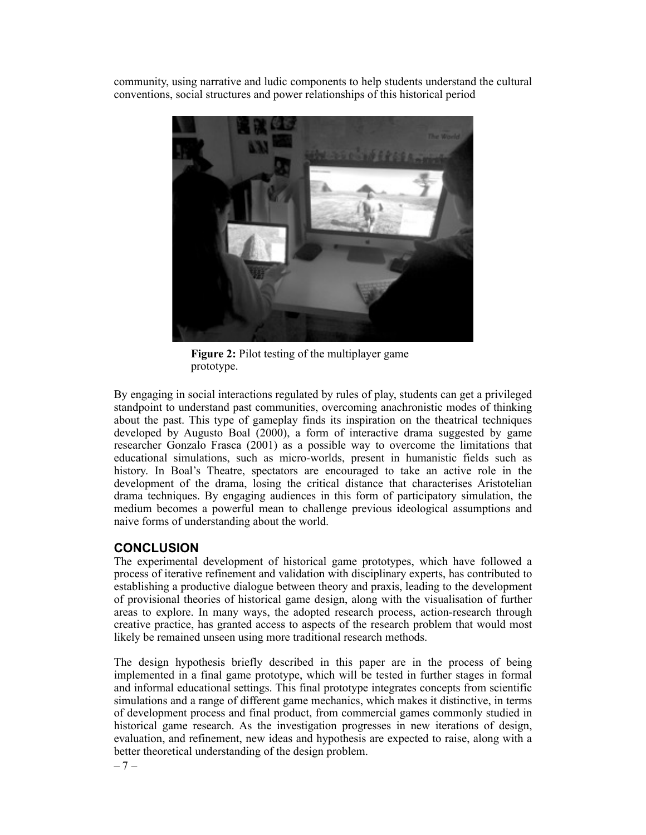community, using narrative and ludic components to help students understand the cultural conventions, social structures and power relationships of this historical period



**Figure 2:** Pilot testing of the multiplayer game prototype.

By engaging in social interactions regulated by rules of play, students can get a privileged standpoint to understand past communities, overcoming anachronistic modes of thinking about the past. This type of gameplay finds its inspiration on the theatrical techniques developed by Augusto Boal (2000), a form of interactive drama suggested by game researcher Gonzalo Frasca (2001) as a possible way to overcome the limitations that educational simulations, such as micro-worlds, present in humanistic fields such as history. In Boal's Theatre, spectators are encouraged to take an active role in the development of the drama, losing the critical distance that characterises Aristotelian drama techniques. By engaging audiences in this form of participatory simulation, the medium becomes a powerful mean to challenge previous ideological assumptions and naive forms of understanding about the world.

# **CONCLUSION**

The experimental development of historical game prototypes, which have followed a process of iterative refinement and validation with disciplinary experts, has contributed to establishing a productive dialogue between theory and praxis, leading to the development of provisional theories of historical game design, along with the visualisation of further areas to explore. In many ways, the adopted research process, action-research through creative practice, has granted access to aspects of the research problem that would most likely be remained unseen using more traditional research methods.

The design hypothesis briefly described in this paper are in the process of being implemented in a final game prototype, which will be tested in further stages in formal and informal educational settings. This final prototype integrates concepts from scientific simulations and a range of different game mechanics, which makes it distinctive, in terms of development process and final product, from commercial games commonly studied in historical game research. As the investigation progresses in new iterations of design, evaluation, and refinement, new ideas and hypothesis are expected to raise, along with a better theoretical understanding of the design problem.